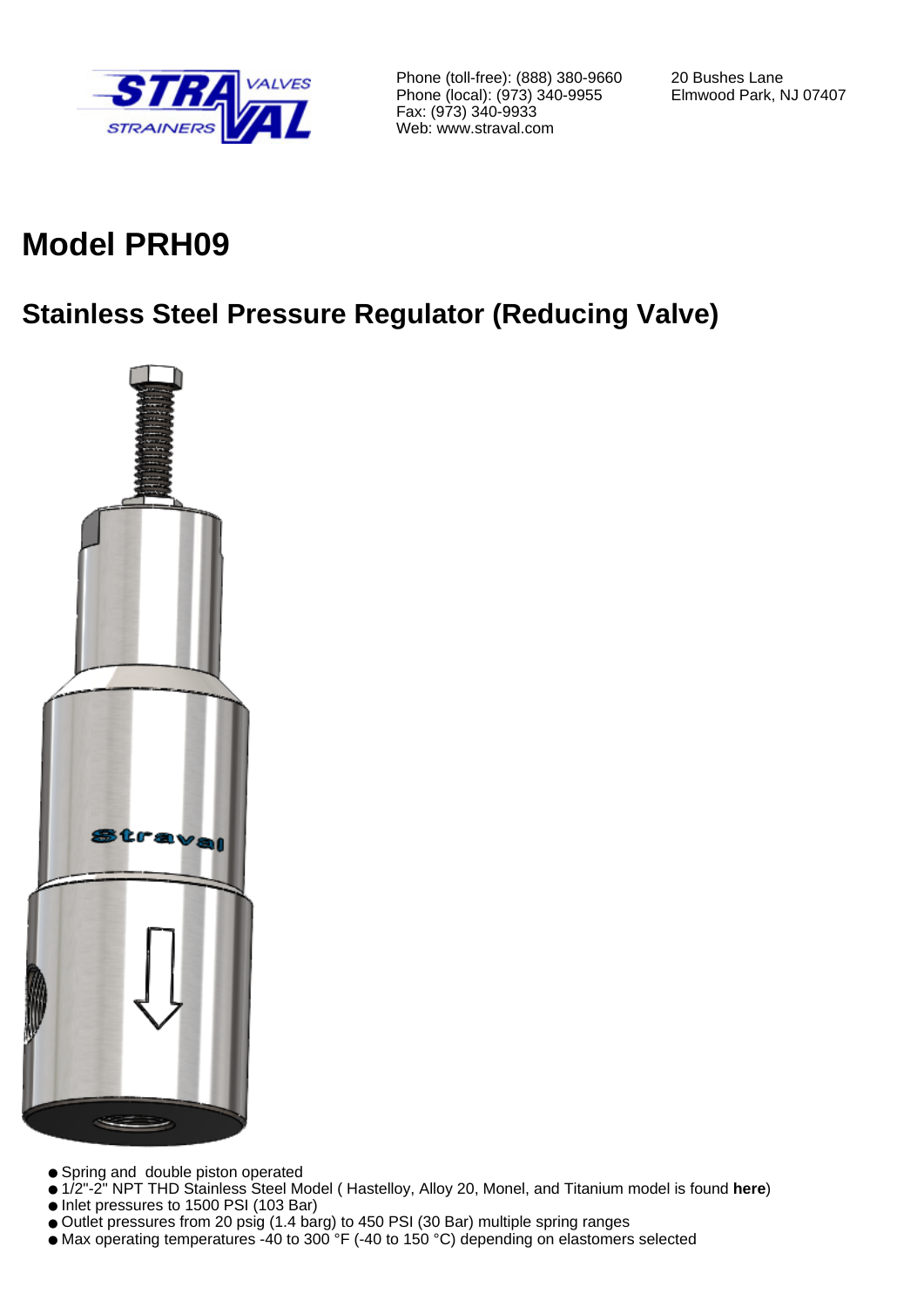

Phone (toll-free): (888) 380-9660 Phone (local): (973) 340-9955 Fax: (973) 340-9933 Web: www.straval.com

20 Bushes Lane Elmwood Park, NJ 07407

# **Model PRH09**

## **Stainless Steel Pressure Regulator (Reducing Valve)**



- Spring and double piston operated
- 1/2"-2" NPT THD Stainless Steel Model ( Hastelloy, Alloy 20, Monel, and Titanium model is found **here**)
- Inlet pressures to 1500 PSI (103 Bar)
- Outlet pressures from 20 psig (1.4 barg) to 450 PSI (30 Bar) multiple spring ranges
- Max operating temperatures -40 to 300 °F (-40 to 150 °C) depending on elastomers selected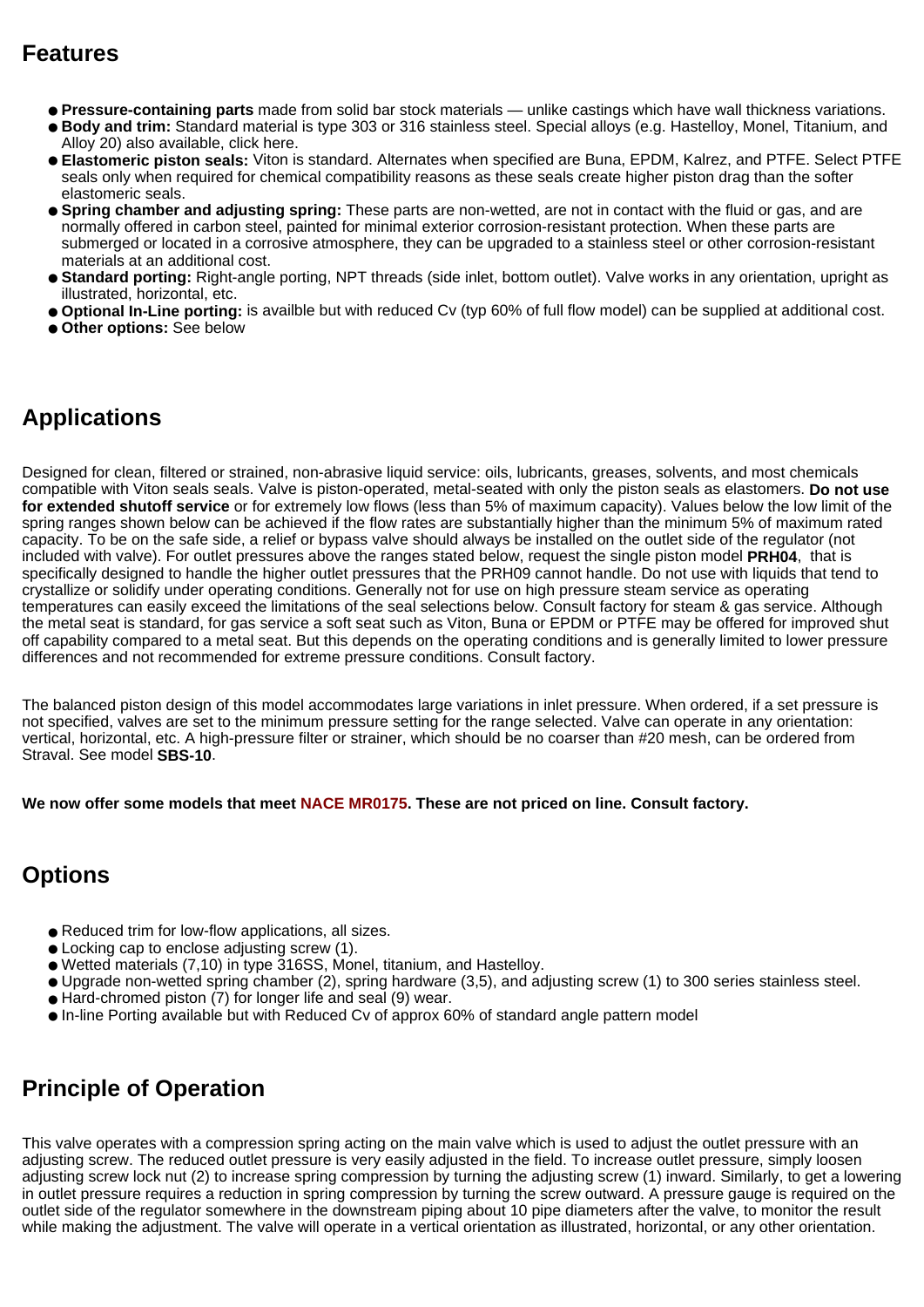### **Features**

- **Pressure-containing parts** made from solid bar stock materials unlike castings which have wall thickness variations.
- **Body and trim:** Standard material is type 303 or 316 stainless steel. Special alloys (e.g. Hastelloy, Monel, Titanium, and Alloy 20) also available, click here.
- **Elastomeric piston seals:** Viton is standard. Alternates when specified are Buna, EPDM, Kalrez, and PTFE. Select PTFE seals only when required for chemical compatibility reasons as these seals create higher piston drag than the softer elastomeric seals.
- **Spring chamber and adjusting spring:** These parts are non-wetted, are not in contact with the fluid or gas, and are normally offered in carbon steel, painted for minimal exterior corrosion-resistant protection. When these parts are submerged or located in a corrosive atmosphere, they can be upgraded to a stainless steel or other corrosion-resistant materials at an additional cost.
- **Standard porting:** Right-angle porting, NPT threads (side inlet, bottom outlet). Valve works in any orientation, upright as illustrated, horizontal, etc.
- **Optional In-Line porting:** is availble but with reduced Cv (typ 60% of full flow model) can be supplied at additional cost.
- **Other options:** See below

### **Applications**

Designed for clean, filtered or strained, non-abrasive liquid service: oils, lubricants, greases, solvents, and most chemicals compatible with Viton seals seals. Valve is piston-operated, metal-seated with only the piston seals as elastomers. **Do not use for extended shutoff service** or for extremely low flows (less than 5% of maximum capacity). Values below the low limit of the spring ranges shown below can be achieved if the flow rates are substantially higher than the minimum 5% of maximum rated capacity. To be on the safe side, a relief or bypass valve should always be installed on the outlet side of the regulator (not included with valve). For outlet pressures above the ranges stated below, request the single piston model **PRH04**, that is specifically designed to handle the higher outlet pressures that the PRH09 cannot handle. Do not use with liquids that tend to crystallize or solidify under operating conditions. Generally not for use on high pressure steam service as operating temperatures can easily exceed the limitations of the seal selections below. Consult factory for steam & gas service. Although the metal seat is standard, for gas service a soft seat such as Viton, Buna or EPDM or PTFE may be offered for improved shut off capability compared to a metal seat. But this depends on the operating conditions and is generally limited to lower pressure differences and not recommended for extreme pressure conditions. Consult factory.

The balanced piston design of this model accommodates large variations in inlet pressure. When ordered, if a set pressure is not specified, valves are set to the minimum pressure setting for the range selected. Valve can operate in any orientation: vertical, horizontal, etc. A high-pressure filter or strainer, which should be no coarser than #20 mesh, can be ordered from Straval. See model **SBS-10**.

**We now offer some models that meet NACE MR0175. These are not priced on line. Consult factory.**

### **Options**

- Reduced trim for low-flow applications, all sizes.
- Locking cap to enclose adjusting screw (1).
- Wetted materials (7,10) in type 316SS, Monel, titanium, and Hastelloy.
- Upgrade non-wetted spring chamber (2), spring hardware (3,5), and adjusting screw (1) to 300 series stainless steel.
- Hard-chromed piston (7) for longer life and seal (9) wear.
- In-line Porting available but with Reduced Cv of approx 60% of standard angle pattern model

### **Principle of Operation**

This valve operates with a compression spring acting on the main valve which is used to adjust the outlet pressure with an adjusting screw. The reduced outlet pressure is very easily adjusted in the field. To increase outlet pressure, simply loosen adjusting screw lock nut (2) to increase spring compression by turning the adjusting screw (1) inward. Similarly, to get a lowering in outlet pressure requires a reduction in spring compression by turning the screw outward. A pressure gauge is required on the outlet side of the regulator somewhere in the downstream piping about 10 pipe diameters after the valve, to monitor the result while making the adjustment. The valve will operate in a vertical orientation as illustrated, horizontal, or any other orientation.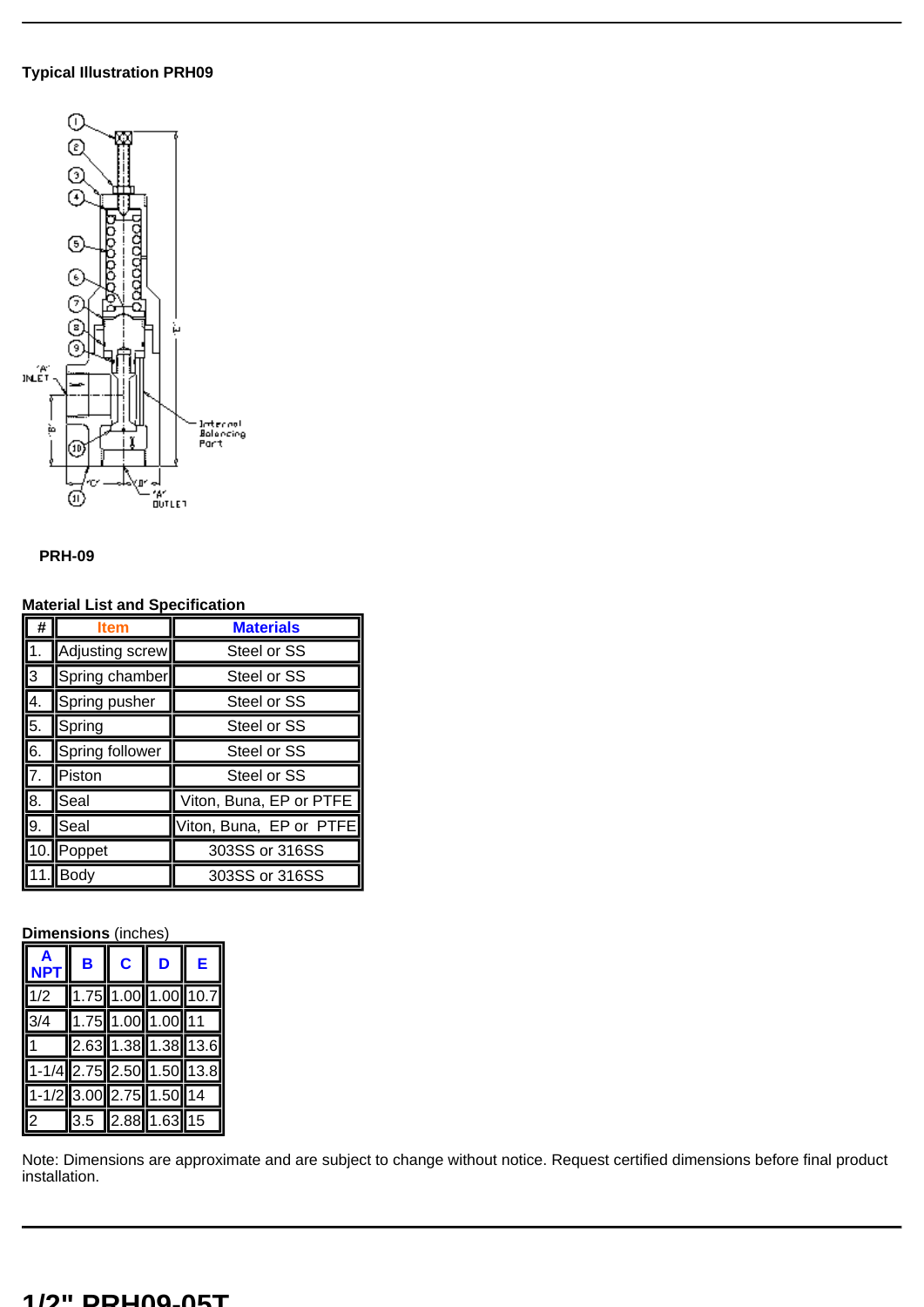#### **Typical Illustration PRH09**



#### **PRH-09**

#### **Material List and Specification**

| #                | ltem            | <b>Materials</b>        |  |  |
|------------------|-----------------|-------------------------|--|--|
|                  | Adjusting screw | Steel or SS             |  |  |
| 3                | Spring chamber  | Steel or SS             |  |  |
| 4.               | Spring pusher   | Steel or SS             |  |  |
| 5.               | Spring          | Steel or SS             |  |  |
| $\overline{6}$ . | Spring follower | Steel or SS             |  |  |
| $\overline{7}$   | Piston          | Steel or SS             |  |  |
| 8.               | Seal            | Viton, Buna, EP or PTFE |  |  |
| 9.               | Seal            | Viton, Buna, EP or PTFE |  |  |
| $\Omega$         | Poppet          | 303SS or 316SS          |  |  |
|                  | Body            | 303SS or 316SS          |  |  |

#### **Dimensions** (inches)

|                           | B | $\mathbf{C}$                                      | D | E |
|---------------------------|---|---------------------------------------------------|---|---|
| 1/2                       |   | $1.75$ 1.00 1.00 10.7                             |   |   |
| 3/4                       |   | $\left  1.75 \right  1.00 \left  1.00 \right  11$ |   |   |
| $1 \quad$                 |   | 2.63 1.38 1.38 13.6                               |   |   |
| 1-1/4 2.75 2.50 1.50 13.8 |   |                                                   |   |   |
| 1-1/2 3.00 2.75 1.50 14   |   |                                                   |   |   |
| $\vert$ 2                 |   | $3.5$ $2.88$ 1.63 15                              |   |   |

Note: Dimensions are approximate and are subject to change without notice. Request certified dimensions before final product installation.

#### **1/2" PRH09-05T**